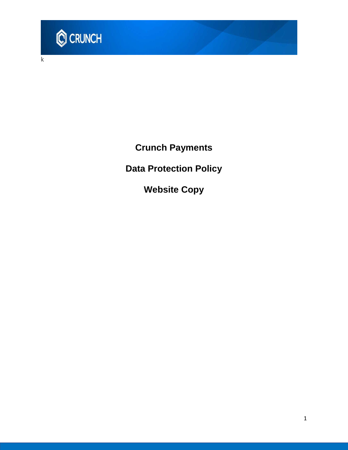

k

**Crunch Payments**

**Data Protection Policy**

**Website Copy**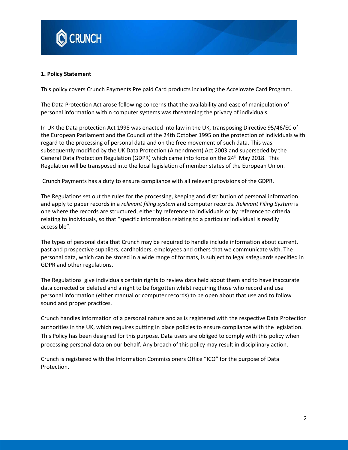

#### **1. Policy Statement**

This policy covers Crunch Payments Pre paid Card products including the Accelovate Card Program.

The Data Protection Act arose following concerns that the availability and ease of manipulation of personal information within computer systems was threatening the privacy of individuals.

In UK the Data protection Act 1998 was enacted into law in the UK, transposing Directive 95/46/EC of the European Parliament and the Council of the 24th October 1995 on the protection of individuals with regard to the processing of personal data and on the free movement of such data. This was subsequently modified by the UK Data Protection (Amendment) Act 2003 and superseded by the General Data Protection Regulation (GDPR) which came into force on the 24<sup>th</sup> May 2018. This Regulation will be transposed into the local legislation of member states of the European Union.

Crunch Payments has a duty to ensure compliance with all relevant provisions of the GDPR.

The Regulations set out the rules for the processing, keeping and distribution of personal information and apply to paper records in a *relevant filing system* and computer records. *Relevant Filing System* is one where the records are structured, either by reference to individuals or by reference to criteria relating to individuals, so that "specific information relating to a particular individual is readily accessible".

The types of personal data that Crunch may be required to handle include information about current, past and prospective suppliers, cardholders, employees and others that we communicate with. The personal data, which can be stored in a wide range of formats, is subject to legal safeguards specified in GDPR and other regulations.

The Regulations give individuals certain rights to review data held about them and to have inaccurate data corrected or deleted and a right to be forgotten whilst requiring those who record and use personal information (either manual or computer records) to be open about that use and to follow sound and proper practices.

Crunch handles information of a personal nature and as is registered with the respective Data Protection authorities in the UK, which requires putting in place policies to ensure compliance with the legislation. This Policy has been designed for this purpose. Data users are obliged to comply with this policy when processing personal data on our behalf. Any breach of this policy may result in disciplinary action.

Crunch is registered with the Information Commissioners Office "ICO" for the purpose of Data Protection.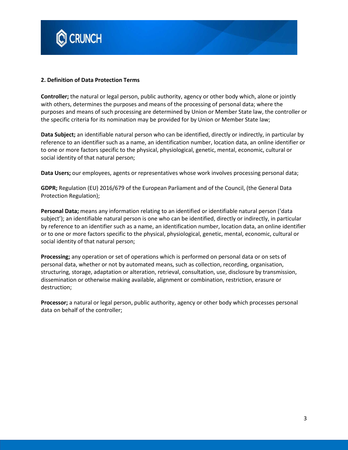

#### **2. Definition of Data Protection Terms**

**Controller;** the natural or legal person, public authority, agency or other body which, alone or jointly with others, determines the purposes and means of the processing of personal data; where the purposes and means of such processing are determined by Union or Member State law, the controller or the specific criteria for its nomination may be provided for by Union or Member State law;

**Data Subject;** an identifiable natural person who can be identified, directly or indirectly, in particular by reference to an identifier such as a name, an identification number, location data, an online identifier or to one or more factors specific to the physical, physiological, genetic, mental, economic, cultural or social identity of that natural person;

**Data Users;** our employees, agents or representatives whose work involves processing personal data;

**GDPR;** Regulation (EU) 2016/679 of the European Parliament and of the Council, (the General Data Protection Regulation);

**Personal Data;** means any information relating to an identified or identifiable natural person ('data subject'); an identifiable natural person is one who can be identified, directly or indirectly, in particular by reference to an identifier such as a name, an identification number, location data, an online identifier or to one or more factors specific to the physical, physiological, genetic, mental, economic, cultural or social identity of that natural person;

**Processing;** any operation or set of operations which is performed on personal data or on sets of personal data, whether or not by automated means, such as collection, recording, organisation, structuring, storage, adaptation or alteration, retrieval, consultation, use, disclosure by transmission, dissemination or otherwise making available, alignment or combination, restriction, erasure or destruction;

**Processor;** a natural or legal person, public authority, agency or other body which processes personal data on behalf of the controller;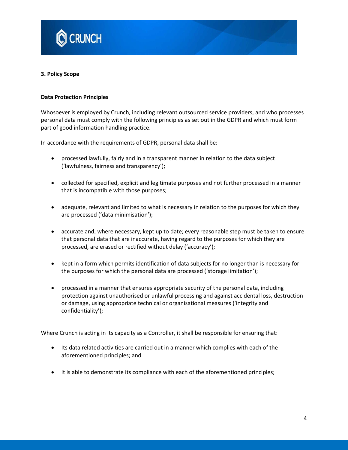

#### **3. Policy Scope**

#### **Data Protection Principles**

Whosoever is employed by Crunch, including relevant outsourced service providers, and who processes personal data must comply with the following principles as set out in the GDPR and which must form part of good information handling practice.

In accordance with the requirements of GDPR, personal data shall be:

- processed lawfully, fairly and in a transparent manner in relation to the data subject ('lawfulness, fairness and transparency');
- collected for specified, explicit and legitimate purposes and not further processed in a manner that is incompatible with those purposes;
- adequate, relevant and limited to what is necessary in relation to the purposes for which they are processed ('data minimisation');
- accurate and, where necessary, kept up to date; every reasonable step must be taken to ensure that personal data that are inaccurate, having regard to the purposes for which they are processed, are erased or rectified without delay ('accuracy');
- kept in a form which permits identification of data subjects for no longer than is necessary for the purposes for which the personal data are processed ('storage limitation');
- processed in a manner that ensures appropriate security of the personal data, including protection against unauthorised or unlawful processing and against accidental loss, destruction or damage, using appropriate technical or organisational measures ('integrity and confidentiality');

Where Crunch is acting in its capacity as a Controller, it shall be responsible for ensuring that:

- Its data related activities are carried out in a manner which complies with each of the aforementioned principles; and
- It is able to demonstrate its compliance with each of the aforementioned principles;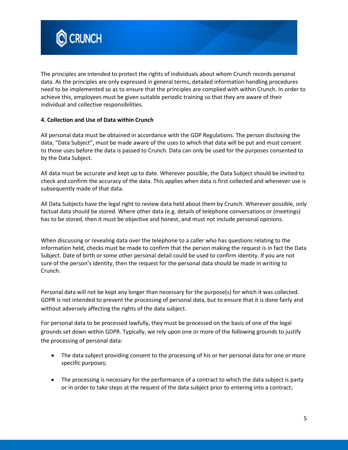

The principles are intended to protect the rights of individuals about whom Crunch records personal data. As the principles are only expressed in general terms, detailed information handling procedures need to be implemented so as to ensure that the principles are complied with within Crunch. In order to achieve this, employees must be given suitable periodic training so that they are aware of their individual and collective responsibilities.

## **4. Collection and Use of Data within Crunch**

All personal data must be obtained in accordance with the GDP Regulations. The person disclosing the data, "Data Subject", must be made aware of the uses to which that data will be put and must consent to those uses before the data is passed to Crunch. Data can only be used for the purposes consented to by the Data Subject.

All data must be accurate and kept up to date. Wherever possible, the Data Subject should be invited to check and confirm the accuracy of the data. This applies when data is first collected and whenever use is subsequently made of that data.

All Data Subjects have the legal right to review data held about them by Crunch. Wherever possible, only factual data should be stored. Where other data (e.g. details of telephone conversations or (meetings) has to be stored, then it must be objective and honest, and must not include personal opinions.

When discussing or revealing data over the telephone to a caller who has questions relating to the information held, checks must be made to confirm that the person making the request is in fact the Data Subject. Date of birth or some other personal detail could be used to confirm identity. If you are not sure of the person's identity, then the request for the personal data should be made in writing to Crunch.

Personal data will not be kept any longer than necessary for the purpose(s) for which it was collected. GDPR is not intended to prevent the processing of personal data, but to ensure that it is done fairly and without adversely affecting the rights of the data subject.

For personal data to be processed lawfully, they must be processed on the basis of one of the legal grounds set down within GDPR. Typically, we rely upon one or more of the following grounds to justify the processing of personal data:

- The data subject providing consent to the processing of his or her personal data for one or more specific purposes;
- The processing is necessary for the performance of a contract to which the data subject is party or in order to take steps at the request of the data subject prior to entering into a contract;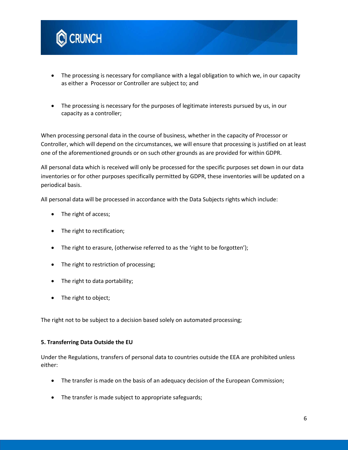

- The processing is necessary for compliance with a legal obligation to which we, in our capacity as either a Processor or Controller are subject to; and
- The processing is necessary for the purposes of legitimate interests pursued by us, in our capacity as a controller;

When processing personal data in the course of business, whether in the capacity of Processor or Controller, which will depend on the circumstances, we will ensure that processing is justified on at least one of the aforementioned grounds or on such other grounds as are provided for within GDPR.

All personal data which is received will only be processed for the specific purposes set down in our data inventories or for other purposes specifically permitted by GDPR, these inventories will be updated on a periodical basis.

All personal data will be processed in accordance with the Data Subjects rights which include:

- The right of access;
- The right to rectification;
- The right to erasure, (otherwise referred to as the 'right to be forgotten');
- The right to restriction of processing;
- The right to data portability;
- The right to object;

The right not to be subject to a decision based solely on automated processing;

#### **5. Transferring Data Outside the EU**

Under the Regulations, transfers of personal data to countries outside the EEA are prohibited unless either:

- The transfer is made on the basis of an adequacy decision of the European Commission;
- The transfer is made subject to appropriate safeguards;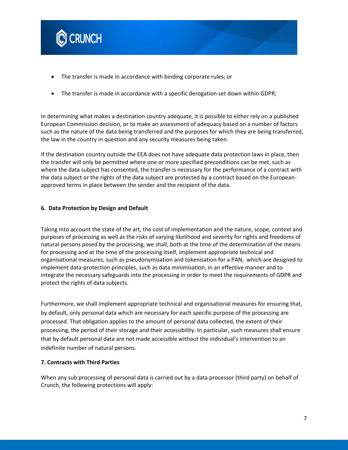

- The transfer is made in accordance with binding corporate rules; or
- The transfer is made in accordance with a specific derogation set down within GDPR;

In determining what makes a destination country adequate, it is possible to either rely on a published European Commission decision, or to make an assessment of adequacy based on a number of factors such as the nature of the data being transferred and the purposes for which they are being transferred, the law in the country in question and any security measures being taken.

If the destination country outside the EEA does not have adequate data protection laws in place, then the transfer will only be permitted where one or more specified preconditions can be met, such as where the data subject has consented, the transfer is necessary for the performance of a contract with the data subject or the rights of the data subject are protected by a contract based on the Europeanapproved terms in place between the sender and the recipient of the data.

#### **6. Data Protection by Design and Default**

Taking into account the state of the art, the cost of implementation and the nature, scope, context and purposes of processing as well as the risks of varying likelihood and severity for rights and freedoms of natural persons posed by the processing, we shall, both at the time of the determination of the means for processing and at the time of the processing itself, implement appropriate technical and organisational measures, such as pseudonymisation and tokenisation for a PAN, which are designed to implement data-protection principles, such as data minimisation, in an effective manner and to integrate the necessary safeguards into the processing in order to meet the requirements of GDPR and protect the rights of data subjects.

Furthermore, we shall implement appropriate technical and organisational measures for ensuring that, by default, only personal data which are necessary for each specific purpose of the processing are processed. That obligation applies to the amount of personal data collected, the extent of their processing, the period of their storage and their accessibility. In particular, such measures shall ensure that by default personal data are not made accessible without the individual's intervention to an indefinite number of natural persons.

#### **7. Contracts with Third Parties**

When any sub processing of personal data is carried out by a data processor (third party) on behalf of Crunch, the following protections will apply: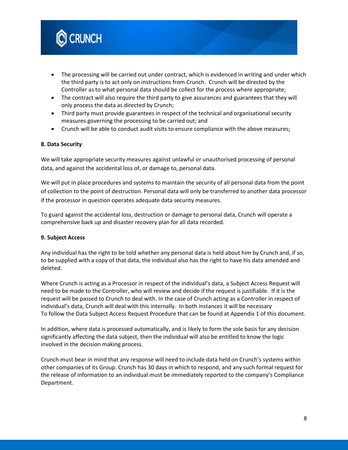

- The processing will be carried out under contract, which is evidenced in writing and under which the third party is to act only on instructions from Crunch. Crunch will be directed by the Controller as to what personal data should be collect for the process where appropriate;
- The contract will also require the third party to give assurances and guarantees that they will only process the data as directed by Crunch;
- Third party must provide guarantees in respect of the technical and organisational security measures governing the processing to be carried out; and
- Crunch will be able to conduct audit visits to ensure compliance with the above measures;

### **8. Data Security**

We will take appropriate security measures against unlawful or unauthorised processing of personal data, and against the accidental loss of, or damage to, personal data.

We will put in place procedures and systems to maintain the security of all personal data from the point of collection to the point of destruction. Personal data will only be transferred to another data processor if the processor in question operates adequate data security measures.

To guard against the accidental loss, destruction or damage to personal data, Crunch will operate a comprehensive back up and disaster recovery plan for all data recorded.

#### **9. Subject Access**

Any individual has the right to be told whether any personal data is held about him by Crunch and, if so, to be supplied with a copy of that data, the individual also has the right to have his data amended and deleted.

Where Crunch is acting as a Processor in respect of the individual's data, a Subject Access Request will need to be made to the Controller, who will review and decide if the request is justifiable. If it is the request will be passed to Crunch to deal with. In the case of Crunch acting as a Controller in respect of individual's data, Crunch will deal with this internally. In both instances it will be necessary To follow the Data Subject Access Request Procedure that can be found at Appendix 1 of this document.

In addition, where data is processed automatically, and is likely to form the sole basis for any decision significantly affecting the data subject, then the individual will also be entitled to know the logic involved in the decision making process.

Crunch must bear in mind that any response will need to include data held on Crunch's systems within other companies of its Group. Crunch has 30 days in which to respond, and any such formal request for the release of information to an individual must be immediately reported to the company's Compliance Department.